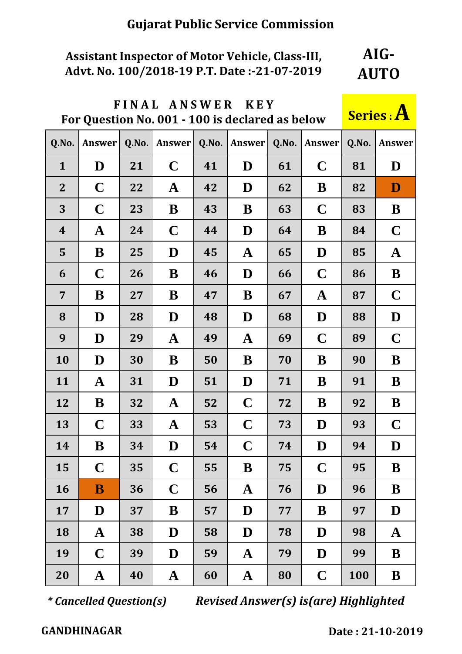#### **Assistant Inspector of Motor Vehicle, Class-III, Advt. No. 100/2018-19 P.T. Date :-21-07-2019 AIG-AUTO**

|                  | FINAL ANSWER<br><b>KEY</b><br>For Question No. 001 - 100 is declared as below |       |                   |       |              |              |             |             |             |  |  |  |  |  |
|------------------|-------------------------------------------------------------------------------|-------|-------------------|-------|--------------|--------------|-------------|-------------|-------------|--|--|--|--|--|
| Q.No.            | <b>Answer</b>                                                                 | Q.No. | <b>Answer</b>     | Q.No. | Answer       | Q.No.        | Answer      | Q.No.       | Answer      |  |  |  |  |  |
| $\mathbf{1}$     | D                                                                             | 21    | $\mathbf C$       | 41    | D            | 61           | $\mathbf C$ | 81          | D           |  |  |  |  |  |
| $\overline{2}$   | $\mathbf C$                                                                   | 22    | $\mathbf{A}$      | 42    | D            | 62           | B           | 82          | D           |  |  |  |  |  |
| 3                | $\mathbf C$                                                                   | 23    | B                 | 43    | B            | 63           | $\mathbf C$ | 83          | B           |  |  |  |  |  |
| $\boldsymbol{4}$ | $\mathbf A$                                                                   | 24    | $\mathbf C$       | 44    | D            | 64           | B           | 84          | $\mathbf C$ |  |  |  |  |  |
| 5                | B                                                                             | 25    | D                 | 45    | $\mathbf A$  | 65           | D           | 85          | $\mathbf A$ |  |  |  |  |  |
| 6                | $\mathbf C$                                                                   | 26    | B<br>46<br>D      |       |              | 66           | $\mathbf C$ | 86          | B           |  |  |  |  |  |
| $\overline{7}$   | B                                                                             | 27    | B                 | B     | 67           | $\mathbf{A}$ | 87          | $\mathbf C$ |             |  |  |  |  |  |
| 8                | D                                                                             | 28    | D<br>48           |       | D            | 68           | D           | 88          | D           |  |  |  |  |  |
| 9                | D                                                                             | 29    | $\mathbf A$<br>49 |       | $\mathbf A$  | 69           | $\mathbf C$ | 89          | $\mathbf C$ |  |  |  |  |  |
| 10               | D                                                                             | 30    | B                 | 50    | B            | 70           | B           | 90          | B           |  |  |  |  |  |
| 11               | $\mathbf A$                                                                   | 31    | D                 | 51    | D            | 71           | B           | 91          | B           |  |  |  |  |  |
| 12               | B                                                                             | 32    | $\mathbf{A}$      | 52    | $\mathbf C$  | 72           | B           | 92          | B           |  |  |  |  |  |
| 13               | $\mathbf C$                                                                   | 33    | $\mathbf{A}$      | 53    | $\mathbf C$  | 73           | D           | 93          | $\mathbf C$ |  |  |  |  |  |
| 14               | B                                                                             | 34    | $\bf{D}$          | 54    | $\mathbf C$  | 74           | $\bf{D}$    | 94          | $\bf{D}$    |  |  |  |  |  |
| 15               | $\mathbf C$                                                                   | 35    | $\mathbf C$       | 55    | B            | 75           | $\mathbf C$ | 95          | B           |  |  |  |  |  |
| 16               | B                                                                             | 36    | $\mathbf C$       | 56    | $\mathbf A$  | 76           | D           | 96          | B           |  |  |  |  |  |
| 17               | D                                                                             | 37    | B                 | 57    | D            | 77           | B           | 97          | D           |  |  |  |  |  |
| 18               | $\mathbf A$                                                                   | 38    | D                 | 58    | D            | 78           | D           | 98          | $\mathbf A$ |  |  |  |  |  |
| 19               | $\mathbf C$<br>39                                                             |       | D                 | 59    | $\mathbf A$  | 79           | D           | 99          | B           |  |  |  |  |  |
| 20               | ${\bf A}$                                                                     | 40    | $\mathbf{A}$      | 60    | $\mathbf{A}$ | 80           | $\mathbf C$ | 100         | B           |  |  |  |  |  |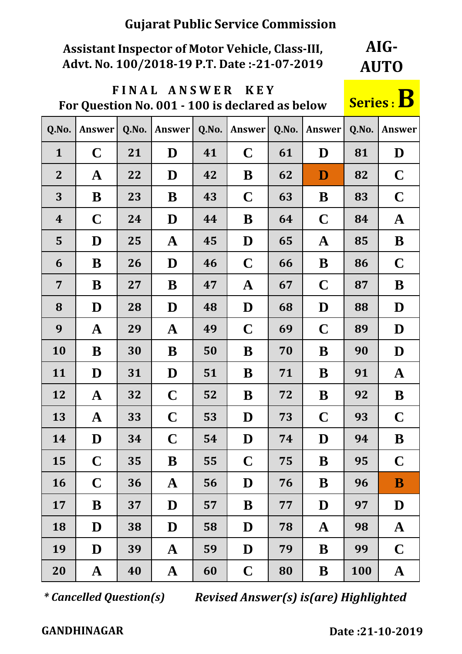## **Assistant Inspector of Motor Vehicle, Class-III, Advt. No. 100/2018-19 P.T. Date :-21-07-2019**

**AIG-AUTO**

# **F I N A L A N S W E R K E Y**  FINAL ANSWER KEY<br>For Question No. 001 - 100 is declared as below **Series** :

| <b>Series: D</b> |  |
|------------------|--|
|------------------|--|

| Q.No.            | <b>Answer</b> | Q.No. | <b>Answer</b> | Q.No. | Answer       | Q.No. | <b>Answer</b> | Q.No. | Answer       |
|------------------|---------------|-------|---------------|-------|--------------|-------|---------------|-------|--------------|
| $\mathbf{1}$     | $\mathbf C$   | 21    | D             | 41    | $\mathbf C$  | 61    | D             | 81    | D            |
| $\overline{2}$   | $\mathbf A$   | 22    | D             | 42    | B            | 62    | D             | 82    | $\mathbf C$  |
| 3                | B             | 23    | B             | 43    | $\mathbf C$  | 63    | B             | 83    | $\mathbf C$  |
| $\boldsymbol{4}$ | $\mathbf C$   | 24    | D             | 44    | B            | 64    | $\mathbf C$   | 84    | $\mathbf{A}$ |
| 5                | D             | 25    | $\mathbf{A}$  | 45    | D            | 65    | $\mathbf{A}$  | 85    | B            |
| 6                | B             | 26    | D             | 46    | $\mathbf C$  | 66    | B             | 86    | $\mathbf C$  |
| $\overline{7}$   | B             | 27    | B             | 47    | $\mathbf{A}$ | 67    | $\mathbf C$   | 87    | B            |
| 8                | D             | 28    | D             | 48    | D            | 68    | D             | 88    | D            |
| 9                | $\mathbf A$   | 29    | $\mathbf A$   | 49    | $\mathbf C$  | 69    | $\mathbf C$   | 89    | D            |
| 10               | B             | 30    | B             | 50    | B            | 70    | B             | 90    | D            |
| 11               | D             | 31    | D             | 51    | B            | 71    | B             | 91    | $\mathbf A$  |
| 12               | $\mathbf A$   | 32    | $\mathbf C$   | 52    | B            | 72    | B             | 92    | B            |
| 13               | $\mathbf A$   | 33    | $\mathbf C$   | 53    | D            | 73    | $\mathbf C$   | 93    | $\mathbf C$  |
| 14               | D             | 34    | $\mathbf C$   | 54    | D            | 74    | D             | 94    | B            |
| 15               | $\mathbf C$   | 35    | B             | 55    | $\mathbf C$  | 75    | $\bf B$       | 95    | $\mathbf C$  |
| 16               | $\mathbf C$   | 36    | $\mathbf A$   | 56    | D            | 76    | B             | 96    | B            |
| 17               | B             | 37    | D             | 57    | B            | 77    | D             | 97    | D            |
| 18               | D             | 38    | D             | 58    | D            | 78    | $\mathbf A$   | 98    | $\mathbf A$  |
| 19               | D             | 39    | $\mathbf A$   | 59    | D            | 79    | B             | 99    | $\mathbf C$  |
| 20               | $\mathbf{A}$  | 40    | $\mathbf A$   | 60    | $\mathbf C$  | 80    | B             | 100   | $\mathbf A$  |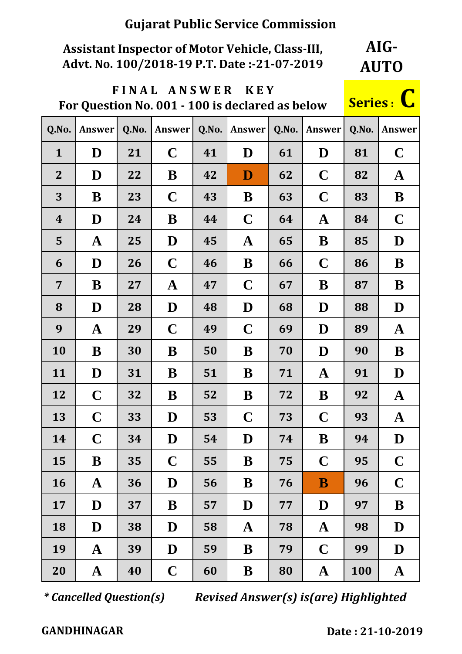### **Assistant Inspector of Motor Vehicle, Class-III, Advt. No. 100/2018-19 P.T. Date :-21-07-2019**

**AIG-AUTO**

## **F I N A L A N S W E R K E Y For Question No. 001 - 100 is declared as below Series : C**

| Q.No.            | Answer       | Q.No. | Answer      | Q.No. | Answer      | Q.No. | Answer       | Q.No. | <b>Answer</b> |
|------------------|--------------|-------|-------------|-------|-------------|-------|--------------|-------|---------------|
| $\mathbf{1}$     | D            | 21    | $\mathbf C$ | 41    | D           | 61    | D            | 81    | $\mathbf C$   |
| $\mathbf{2}$     | D            | 22    | B           | 42    | D           | 62    | $\mathbf C$  | 82    | $\mathbf A$   |
| 3                | B            | 23    | $\mathbf C$ | 43    | B           | 63    | $\mathbf C$  | 83    | B             |
| $\boldsymbol{4}$ | D            | 24    | B           | 44    | $\mathbf C$ | 64    | $\mathbf A$  | 84    | $\mathbf C$   |
| 5                | $\mathbf A$  | 25    | D           | 45    | $\mathbf A$ | 65    | B            | 85    | D             |
| 6                | D            | 26    | $\mathbf C$ | 46    | B           | 66    | $\mathbf C$  | 86    | B             |
| $\overline{7}$   | B            | 27    | ${\bf A}$   | 47    | $\mathbf C$ | 67    | B            | 87    | B             |
| 8                | D            | 28    | D           | 48    | D           | 68    | D            | 88    | D             |
| 9                | ${\bf A}$    | 29    | $\mathbf C$ | 49    | $\mathbf C$ | 69    | D            | 89    | $\mathbf A$   |
| 10               | B            | 30    | B           | 50    | B           | 70    | D            | 90    | B             |
| 11               | D            | 31    | B           | 51    | B           | 71    | $\mathbf A$  | 91    | D             |
| 12               | $\mathbf C$  | 32    | B           | 52    | B           | 72    | B            | 92    | $\mathbf A$   |
| 13               | $\mathbf C$  | 33    | D           | 53    | $\mathbf C$ | 73    | $\mathbf C$  | 93    | $\mathbf A$   |
| 14               | $\mathbf C$  | 34    | D           | 54    | D           | 74    | B            | 94    | D             |
| 15               | B            | 35    | $\mathbf C$ | 55    | B           | 75    | $\mathbf C$  | 95    | $\mathbf C$   |
| 16               | $\mathbf A$  | 36    | D           | 56    | B           | 76    | B            | 96    | $\mathbf C$   |
| 17               | D            | 37    | B           | 57    | D           | 77    | D            | 97    | B             |
| 18               | D            | 38    | D           | 58    | $\mathbf A$ | 78    | $\mathbf A$  | 98    | D             |
| 19               | $\mathbf A$  | 39    | D           | 59    | B           | 79    | $\mathbf C$  | 99    | D             |
| 20               | $\mathbf{A}$ | 40    | $\mathbf C$ | 60    | B           | 80    | $\mathbf{A}$ | 100   | $\mathbf{A}$  |

*\* Cancelled Question(s) Revised Answer(s) is(are) Highlighted*

 **GANDHINAGAR Date : 21-10-2019 :**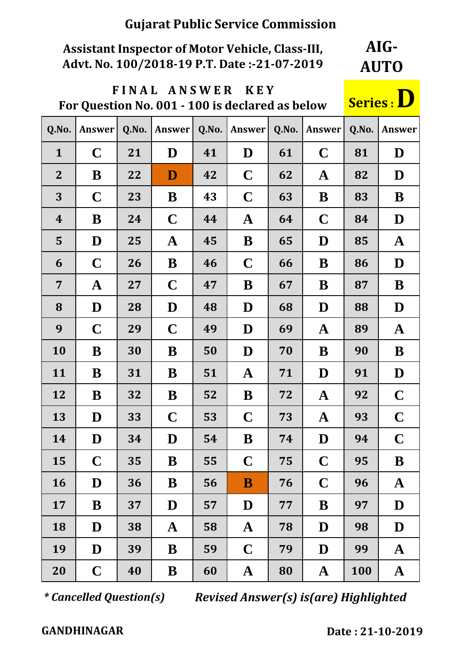### **Assistant Inspector of Motor Vehicle, Class-III, Advt. No. 100/2018-19 P.T. Date :-21-07-2019**

**AIG-AUTO**

### **F I N A L A N S W E R K E Y FOR ARSWER REP**<br>**For Question No. 001 - 100 is declared as below Series**:

| Q.No.            | Answer      | Q.No. | Answer       | Q.No. | Answer      | Q.No. | Answer      | Q.No. | <b>Answer</b> |
|------------------|-------------|-------|--------------|-------|-------------|-------|-------------|-------|---------------|
| $\mathbf{1}$     | $\mathbf C$ | 21    | D            | 41    | D           | 61    | $\mathbf C$ | 81    | D             |
| $\overline{2}$   | B           | 22    | $\mathbf{D}$ | 42    | $\mathbf C$ | 62    | $\mathbf A$ | 82    | D             |
| 3                | $\mathbf C$ | 23    | B            | 43    | $\mathbf C$ | 63    | B           | 83    | B             |
| $\boldsymbol{4}$ | B           | 24    | $\mathbf C$  | 44    | $\mathbf A$ | 64    | $\mathbf C$ | 84    | D             |
| 5                | D           | 25    | $\mathbf A$  | 45    | B           | 65    | D           | 85    | $\mathbf A$   |
| 6                | $\mathbf C$ | 26    | B            | 46    | $\mathbf C$ | 66    | B           | 86    | D             |
| 7                | $\mathbf A$ | 27    | $\mathbf C$  | 47    | B           | 67    | B           | 87    | B             |
| 8                | D           | 28    | D            | 48    | D           | 68    | D           | 88    | D             |
| 9                | $\mathbf C$ | 29    | $\mathbf C$  | 49    | D           | 69    | $\mathbf A$ | 89    | $\mathbf A$   |
| 10               | B           | 30    | B            | 50    | D           | 70    | B           | 90    | B             |
| 11               | B           | 31    | B            | 51    | $\mathbf A$ | 71    | D           | 91    | D             |
| 12               | B           | 32    | B            | 52    | B           | 72    | $\mathbf A$ | 92    | $\mathbf C$   |
| 13               | D           | 33    | $\mathbf C$  | 53    | $\mathbf C$ | 73    | $\mathbf A$ | 93    | $\mathbf C$   |
| 14               | D           | 34    | D            | 54    | B           | 74    | D           | 94    | $\mathbf C$   |
| 15               | $\mathbf C$ | 35    | B            | 55    | $\mathbf C$ | 75    | $\mathbf C$ | 95    | B             |
| 16               | D           | 36    | B            | 56    | B           | 76    | $\mathbf C$ | 96    | $\mathbf{A}$  |
| 17               | B           | 37    | D            | 57    | D           | 77    | B           | 97    | D             |
| 18               | D           | 38    | $\mathbf{A}$ | 58    | $\mathbf A$ | 78    | D           | 98    | D             |
| 19               | D           | 39    | B            | 59    | $\mathbf C$ | 79    | D           | 99    | $\mathbf{A}$  |
| 20               | $\mathbf C$ | 40    | B            | 60    | $\mathbf A$ | 80    | $\mathbf A$ | 100   | $\mathbf A$   |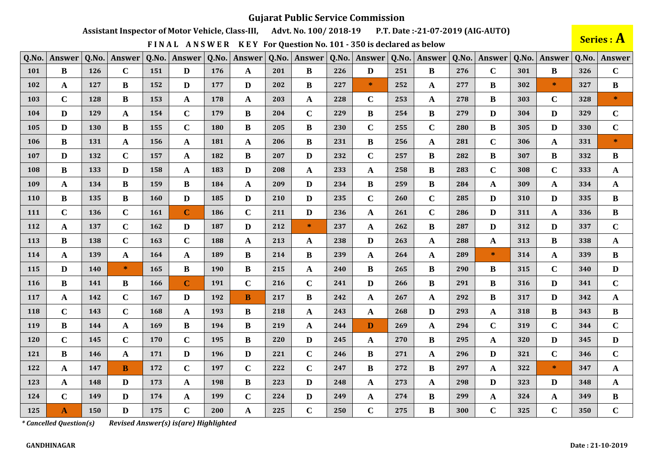Assistant Inspector of Motor Vehicle, Class-III, Advt. No. 100/2018-19 P.T. Date:-21-07-2019 (AIG-AUTO)

FINAL ANSWER KEY For Question No. 101 - 350 is declared as below

Series : A

| Q.No.      | Answer       | Q.No. | Answer       | Q.No.      | Answer       | Q.No. | Answer       | Q.No. | Answer       | Q.No. | <b>Answer</b> | Q.No. | Answer       | Q.No. | Answer       | Q.No. | Answer       | Q.No. | <b>Answer</b> |
|------------|--------------|-------|--------------|------------|--------------|-------|--------------|-------|--------------|-------|---------------|-------|--------------|-------|--------------|-------|--------------|-------|---------------|
| 101        | $\bf{B}$     | 126   | $\mathbf C$  | 151        | D            | 176   | A            | 201   | $\bf{B}$     | 226   | D             | 251   | $\bf{B}$     | 276   | $\mathbf C$  | 301   | $\bf{B}$     | 326   | $\mathbf C$   |
| 102        | A            | 127   | B            | 152        | $\mathbf{D}$ | 177   | D            | 202   | $\bf{B}$     | 227   | $\ast$        | 252   | $\mathbf{A}$ | 277   | $\bf{B}$     | 302   | $\ast$       | 327   | $\bf{B}$      |
| 103        | $\mathbf C$  | 128   | B            | 153        | $\mathbf{A}$ | 178   | $\mathbf{A}$ | 203   | $\mathbf{A}$ | 228   | $\mathbf C$   | 253   | $\mathbf{A}$ | 278   | B            | 303   | $\mathbf C$  | 328   | $\mathcal{H}$ |
| 104        | D            | 129   | A            | 154        | $\mathbf C$  | 179   | $\bf{B}$     | 204   | $\mathbf C$  | 229   | B             | 254   | $\bf{B}$     | 279   | D            | 304   | D            | 329   | $\mathbf C$   |
| 105        | D            | 130   | B            | 155        | $\mathbf C$  | 180   | B            | 205   | B            | 230   | $\mathbf C$   | 255   | $\mathbf C$  | 280   | B            | 305   | D            | 330   | $\mathbf C$   |
| 106        | B            | 131   | A            | 156        | $\mathbf{A}$ | 181   | A            | 206   | B            | 231   | B             | 256   | $\mathbf A$  | 281   | $\mathbf C$  | 306   | A            | 331   | $\ast$        |
| 107        | D            | 132   | $\mathbf C$  | 157        | $\mathbf A$  | 182   | $\bf{B}$     | 207   | D            | 232   | $\mathbf C$   | 257   | $\bf{B}$     | 282   | B            | 307   | B            | 332   | B             |
| 108        | B            | 133   | D            | 158        | $\mathbf{A}$ | 183   | D            | 208   | $\mathbf{A}$ | 233   | A             | 258   | B            | 283   | $\mathbf C$  | 308   | $\mathbf C$  | 333   | $\mathbf{A}$  |
| 109        | A            | 134   | B            | 159        | $\bf{B}$     | 184   | $\mathbf{A}$ | 209   | D            | 234   | $\bf{B}$      | 259   | $\bf{B}$     | 284   | $\mathbf{A}$ | 309   | A            | 334   | $\mathbf{A}$  |
| 110        | B            | 135   | B            | 160        | $\mathbf{D}$ | 185   | D            | 210   | D            | 235   | $\mathbf C$   | 260   | $\mathbf C$  | 285   | D            | 310   | D            | 335   | $\bf{B}$      |
| 111        | $\mathbf C$  | 136   | $\mathbf C$  | <b>161</b> | $\mathbf C$  | 186   | $\mathbf C$  | 211   | D            | 236   | $\mathbf{A}$  | 261   | $\mathbf C$  | 286   | D            | 311   | A            | 336   | $\bf{B}$      |
| 112        | A            | 137   | $\mathbf C$  | 162        | $\mathbf{D}$ | 187   | D            | 212   | $\ast$       | 237   | $\mathbf{A}$  | 262   | B            | 287   | D            | 312   | D            | 337   | $\mathbf C$   |
| 113        | B            | 138   | $\mathbf C$  | 163        | $\mathbf C$  | 188   | A            | 213   | $\mathbf{A}$ | 238   | D             | 263   | $\mathbf{A}$ | 288   | A            | 313   | B            | 338   | $\mathbf{A}$  |
| 114        | A            | 139   | $\mathbf{A}$ | 164        | $\mathbf{A}$ | 189   | $\bf{B}$     | 214   | B            | 239   | $\mathbf{A}$  | 264   | $\mathbf A$  | 289   | $\ast$       | 314   | $\mathbf{A}$ | 339   | $\bf{B}$      |
| 115        | D            | 140   | $\ast$       | 165        | $\bf{B}$     | 190   | B            | 215   | $\mathbf{A}$ | 240   | B             | 265   | B            | 290   | B            | 315   | $\mathbf C$  | 340   | D             |
| <b>116</b> | B            | 141   | B            | 166        | $\mathbf C$  | 191   | $\mathbf C$  | 216   | $\mathbf C$  | 241   | D             | 266   | B            | 291   | B            | 316   | D            | 341   | $\mathbf C$   |
| 117        | A            | 142   | $\mathbf C$  | 167        | D            | 192   | B            | 217   | B            | 242   | A             | 267   | $\mathbf{A}$ | 292   | B            | 317   | D            | 342   | $\mathbf{A}$  |
| 118        | $\mathbf C$  | 143   | $\mathbf C$  | 168        | $\mathbf A$  | 193   | B            | 218   | A            | 243   | $\mathbf{A}$  | 268   | D            | 293   | $\mathbf{A}$ | 318   | B            | 343   | $\bf{B}$      |
| 119        | B            | 144   | $\mathbf{A}$ | 169        | $\bf{B}$     | 194   | B            | 219   | $\mathbf{A}$ | 244   | D             | 269   | A            | 294   | $\mathbf C$  | 319   | $\mathbf C$  | 344   | $\mathbf C$   |
| 120        | $\mathbf C$  | 145   | $\mathbf C$  | 170        | $\mathbf C$  | 195   | $\bf{B}$     | 220   | D            | 245   | A             | 270   | B            | 295   | A            | 320   | D            | 345   | D             |
| 121        | $\bf{B}$     | 146   | A            | 171        | $\mathbf{D}$ | 196   | D            | 221   | $\mathbf C$  | 246   | B             | 271   | $\mathbf{A}$ | 296   | D            | 321   | $\mathbf C$  | 346   | $\mathbf C$   |
| 122        | A            | 147   | B            | 172        | $\mathbf C$  | 197   | $\mathbf C$  | 222   | $\mathbf C$  | 247   | $\bf{B}$      | 272   | $\bf{B}$     | 297   | $\mathbf A$  | 322   | $\ast$       | 347   | $\mathbf{A}$  |
| 123        | $\mathbf A$  | 148   | D            | 173        | $\mathbf{A}$ | 198   | $\bf{B}$     | 223   | D            | 248   | $\mathbf{A}$  | 273   | $\mathbf{A}$ | 298   | D            | 323   | D            | 348   | $\mathbf{A}$  |
| 124        | $\mathbf C$  | 149   | D            | 174        | $\mathbf{A}$ | 199   | $\mathbf C$  | 224   | D            | 249   | A             | 274   | B            | 299   | $\mathbf{A}$ | 324   | $\mathbf{A}$ | 349   | $\bf{B}$      |
| 125        | $\mathbf{A}$ | 150   | D            | 175        | $\mathbf C$  | 200   | A            | 225   | $\mathbf C$  | 250   | $\mathbf C$   | 275   | $\bf{B}$     | 300   | $\mathbf C$  | 325   | $\mathbf C$  | 350   | $\mathbf C$   |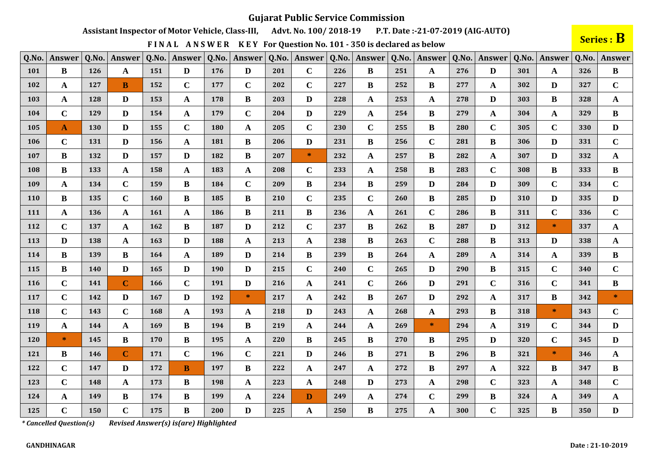Assistant Inspector of Motor Vehicle, Class-III, Advt. No. 100/2018-19 P.T. Date:-21-07-2019 (AIG-AUTO)

FINAL ANSWER KEY For Question No. 101 - 350 is declared as below

Series : B

| Q.No. | Answer       | Q.No.      | Answer       | Q.No. | <b>Answer</b> | Q.No. | Answer      | Q.No. | Answer       | Q.No. | Answer       | Q.No. | Answer       | Q.No. | <b>Answer</b> | Q.No. | Answer       | Q.No. | Answer       |
|-------|--------------|------------|--------------|-------|---------------|-------|-------------|-------|--------------|-------|--------------|-------|--------------|-------|---------------|-------|--------------|-------|--------------|
| 101   | ${\bf B}$    | 126        | A            | 151   | D             | 176   | D           | 201   | $\mathbf C$  | 226   | B            | 251   | $\mathbf{A}$ | 276   | D             | 301   | A            | 326   | B            |
| 102   | A            | 127        | B            | 152   | $\mathbf C$   | 177   | $\mathbf C$ | 202   | $\mathbf C$  | 227   | B            | 252   | B            | 277   | A             | 302   | D            | 327   | $\mathbf C$  |
| 103   | A            | 128        | D            | 153   | $\mathbf A$   | 178   | B           | 203   | D            | 228   | A            | 253   | $\mathbf{A}$ | 278   | D             | 303   | B            | 328   | A            |
| 104   | $\mathbf C$  | 129        | D            | 154   | $\mathbf A$   | 179   | $\mathbf C$ | 204   | D            | 229   | $\mathbf{A}$ | 254   | $\bf{B}$     | 279   | A             | 304   | $\mathbf{A}$ | 329   | $\bf{B}$     |
| 105   | $\mathbf{A}$ | 130        | D            | 155   | $\mathbf C$   | 180   | A           | 205   | $\mathbf C$  | 230   | $\mathbf C$  | 255   | $\bf{B}$     | 280   | $\mathbf C$   | 305   | $\mathbf C$  | 330   | D            |
| 106   | $\mathbf C$  | 131        | D            | 156   | $\mathbf{A}$  | 181   | B           | 206   | D            | 231   | B            | 256   | $\mathbf C$  | 281   | B             | 306   | D            | 331   | $\mathbf C$  |
| 107   | B            | 132        | D            | 157   | D             | 182   | B           | 207   | $\ast$       | 232   | $\mathbf{A}$ | 257   | $\bf{B}$     | 282   | A             | 307   | D            | 332   | $\mathbf A$  |
| 108   | B            | 133        | A            | 158   | $\mathbf{A}$  | 183   | A           | 208   | $\mathbf C$  | 233   | $\mathbf{A}$ | 258   | B            | 283   | $\mathbf C$   | 308   | B            | 333   | B            |
| 109   | A            | 134        | $\mathbf C$  | 159   | $\bf{B}$      | 184   | $\mathbf C$ | 209   | $\bf{B}$     | 234   | B            | 259   | D            | 284   | D             | 309   | $\mathbf C$  | 334   | $\mathbf C$  |
| 110   | $\bf{B}$     | 135        | $\mathbf C$  | 160   | $\bf{B}$      | 185   | $\bf{B}$    | 210   | $\mathbf C$  | 235   | $\mathbf C$  | 260   | $\bf{B}$     | 285   | D             | 310   | D            | 335   | D            |
| 111   | A            | <b>136</b> | A            | 161   | $\mathbf A$   | 186   | B           | 211   | B            | 236   | A            | 261   | $\mathbf C$  | 286   | B             | 311   | $\mathbf C$  | 336   | $\mathbf C$  |
| 112   | $\mathbf C$  | 137        | A            | 162   | B             | 187   | D           | 212   | $\mathbf C$  | 237   | B            | 262   | $\bf{B}$     | 287   | D             | 312   | $\ast$       | 337   | $\mathbf{A}$ |
| 113   | D            | 138        | A            | 163   | $\mathbf{D}$  | 188   | A           | 213   | A            | 238   | B            | 263   | $\mathbf C$  | 288   | B             | 313   | D            | 338   | A            |
| 114   | B            | 139        | B            | 164   | $\mathbf A$   | 189   | D           | 214   | $\bf{B}$     | 239   | B            | 264   | $\mathbf{A}$ | 289   | A             | 314   | A            | 339   | B            |
| 115   | B            | <b>140</b> | D            | 165   | D             | 190   | D           | 215   | $\mathbf C$  | 240   | $\mathbf C$  | 265   | D            | 290   | B             | 315   | $\mathbf C$  | 340   | $\mathbf C$  |
| 116   | $\mathbf C$  | 141        | $\mathbf C$  | 166   | $\mathbf C$   | 191   | D           | 216   | A            | 241   | $\mathbf C$  | 266   | D            | 291   | $\mathbf C$   | 316   | $\mathbf C$  | 341   | B            |
| 117   | $\mathbf C$  | 142        | D            | 167   | $\mathbf{D}$  | 192   | $*$         | 217   | A            | 242   | B            | 267   | $\mathbf{D}$ | 292   | A             | 317   | B            | 342   | $\star$      |
| 118   | $\mathbf C$  | 143        | $\mathbf C$  | 168   | $\mathbf A$   | 193   | A           | 218   | D            | 243   | $\mathbf{A}$ | 268   | $\mathbf{A}$ | 293   | B             | 318   | $\gg$        | 343   | $\mathbf C$  |
| 119   | A            | 144        | A            | 169   | $\bf{B}$      | 194   | B           | 219   | A            | 244   | A            | 269   | $*$          | 294   | A             | 319   | $\mathbf C$  | 344   | D            |
| 120   | $\ast$       | 145        | $\bf{B}$     | 170   | $\, {\bf B}$  | 195   | A           | 220   | $\bf{B}$     | 245   | $\bf{B}$     | 270   | $\bf{B}$     | 295   | D             | 320   | $\mathbf C$  | 345   | D            |
| 121   | B            | 146        | $\mathbf{C}$ | 171   | $\mathbf C$   | 196   | $\mathbf C$ | 221   | D            | 246   | B            | 271   | $\bf{B}$     | 296   | B             | 321   | $\ast$       | 346   | A            |
| 122   | $\mathbf C$  | 147        | D            | 172   | $\bf{B}$      | 197   | B           | 222   | A            | 247   | $\mathbf{A}$ | 272   | $\bf{B}$     | 297   | A             | 322   | B            | 347   | B            |
| 123   | $\mathbf C$  | 148        | A            | 173   | $\bf{B}$      | 198   | A           | 223   | $\mathbf{A}$ | 248   | D            | 273   | $\mathbf A$  | 298   | $\mathbf C$   | 323   | A            | 348   | $\mathbf C$  |
| 124   | A            | 149        | B            | 174   | B             | 199   | A           | 224   | D            | 249   | $\mathbf{A}$ | 274   | $\mathbf C$  | 299   | B             | 324   | A            | 349   | $\mathbf{A}$ |
| 125   | $\mathbf C$  | 150        | $\mathbf C$  | 175   | $\bf{B}$      | 200   | D           | 225   | A            | 250   | $\bf{B}$     | 275   | $\mathbf A$  | 300   | $\mathbf C$   | 325   | $\bf{B}$     | 350   | D            |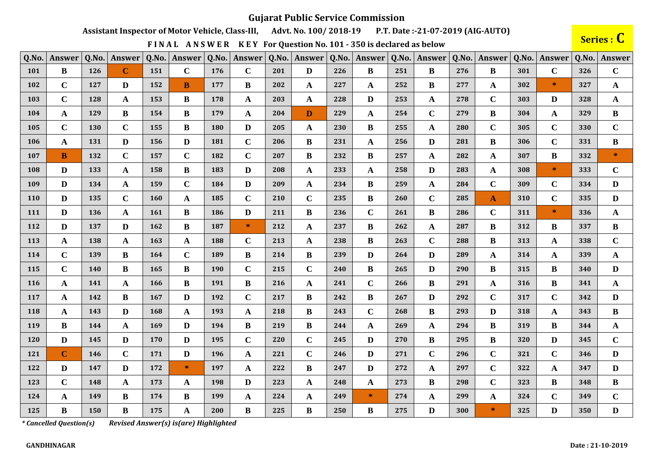Assistant Inspector of Motor Vehicle, Class-III, Advt. No. 100/2018-19 P.T. Date:-21-07-2019 (AIG-AUTO)

FINAL ANSWER KEY For Question No. 101 - 350 is declared as below

Series : C

| Q.No.      | Answer         | Q.No. | Answer       | Q.No.      | Answer       | Q.No. | Answer      | Q.No. | Answer       | Q.No. | <b>Answer</b> | Q.No. | Answer       | Q.No. | Answer        | Q.No. | Answer       | Q.No. | <b>Answer</b> |
|------------|----------------|-------|--------------|------------|--------------|-------|-------------|-------|--------------|-------|---------------|-------|--------------|-------|---------------|-------|--------------|-------|---------------|
| <b>101</b> | $\bf{B}$       | 126   | $\mathbf C$  | 151        | $\mathbf C$  | 176   | $\mathbf C$ | 201   | D            | 226   | B             | 251   | $\bf{B}$     | 276   | B             | 301   | $\mathbf C$  | 326   | $\mathbf C$   |
| 102        | $\mathbf C$    | 127   | D            | 152        | $\bf{B}$     | 177   | B           | 202   | $\mathbf{A}$ | 227   | A             | 252   | B            | 277   | A             | 302   | $\ast$       | 327   | $\mathbf{A}$  |
| 103        | $\mathbf C$    | 128   | A            | 153        | B            | 178   | A           | 203   | $\mathbf{A}$ | 228   | D             | 253   | A            | 278   | $\mathbf C$   | 303   | D            | 328   | $\mathbf{A}$  |
| 104        | $\mathbf A$    | 129   | B            | 154        | $\bf{B}$     | 179   | A           | 204   | D            | 229   | $\mathbf{A}$  | 254   | $\mathbf C$  | 279   | B             | 304   | A            | 329   | $\bf{B}$      |
| 105        | $\mathbf C$    | 130   | $\mathbf C$  | 155        | $\bf{B}$     | 180   | D           | 205   | A            | 230   | $\bf{B}$      | 255   | $\mathbf A$  | 280   | $\mathbf C$   | 305   | $\mathbf C$  | 330   | $\mathbf C$   |
| 106        | A              | 131   | D            | 156        | D            | 181   | $\mathbf C$ | 206   | B            | 231   | $\mathbf{A}$  | 256   | D            | 281   | B             | 306   | $\mathbf C$  | 331   | B             |
| 107        | B              | 132   | $\mathbf C$  | 157        | $\mathbf C$  | 182   | $\mathbf C$ | 207   | B            | 232   | B             | 257   | $\mathbf A$  | 282   | A             | 307   | B            | 332   | $\ast$        |
| 108        | D              | 133   | A            | 158        | $\bf{B}$     | 183   | D           | 208   | $\mathbf{A}$ | 233   | $\mathbf{A}$  | 258   | D            | 283   | A             | 308   | $\ast$       | 333   | $\mathbf C$   |
| 109        | D              | 134   | A            | 159        | $\mathbf C$  | 184   | D           | 209   | $\mathbf{A}$ | 234   | B             | 259   | $\mathbf A$  | 284   | $\mathbf C$   | 309   | $\mathbf C$  | 334   | $\mathbf{D}$  |
| <b>110</b> | D              | 135   | $\mathbf C$  | 160        | $\mathbf A$  | 185   | $\mathbf C$ | 210   | $\mathbf C$  | 235   | B             | 260   | $\mathbf C$  | 285   | A             | 310   | $\mathbf C$  | 335   | D             |
| 111        | D              | 136   | A            | <b>161</b> | B            | 186   | D           | 211   | B            | 236   | $\mathbf C$   | 261   | $\bf{B}$     | 286   | $\mathbf C$   | 311   | $\ast$       | 336   | $\mathbf{A}$  |
| 112        | D              | 137   | D            | 162        | $\bf{B}$     | 187   | $\ast$      | 212   | $\mathbf{A}$ | 237   | B             | 262   | $\mathbf A$  | 287   | $\bf{B}$      | 312   | <sup>B</sup> | 337   | $\bf{B}$      |
| 113        | A              | 138   | A            | 163        | A            | 188   | $\mathbf C$ | 213   | A            | 238   | B             | 263   | $\mathbf C$  | 288   | B             | 313   | A            | 338   | $\mathbf C$   |
| 114        | $\mathbf C$    | 139   | B            | 164        | $\mathbf C$  | 189   | $\bf{B}$    | 214   | B            | 239   | D             | 264   | $\mathbf{D}$ | 289   | A             | 314   | A            | 339   | $\mathbf{A}$  |
| 115        | $\mathbf C$    | 140   | B            | 165        | $\bf{B}$     | 190   | $\mathbf C$ | 215   | $\mathbf C$  | 240   | B             | 265   | $\mathbf{D}$ | 290   | B             | 315   | B            | 340   | D             |
| <b>116</b> | A              | 141   | $\mathbf{A}$ | 166        | $\bf{B}$     | 191   | B           | 216   | $\mathbf{A}$ | 241   | $\mathbf C$   | 266   | $\bf{B}$     | 291   | A             | 316   | B            | 341   | $\mathbf{A}$  |
| 117        | A              | 142   | B            | 167        | D            | 192   | $\mathbf C$ | 217   | B            | 242   | B             | 267   | D            | 292   | $\mathbf C$   | 317   | $\mathbf C$  | 342   | D             |
| 118        | A              | 143   | D            | 168        | $\mathbf A$  | 193   | A           | 218   | B            | 243   | $\mathbf C$   | 268   | B            | 293   | D             | 318   | A            | 343   | $\bf{B}$      |
| 119        | $\bf{B}$       | 144   | A            | 169        | $\mathbf{D}$ | 194   | $\bf{B}$    | 219   | $\bf{B}$     | 244   | A             | 269   | $\mathbf A$  | 294   | $\bf{B}$      | 319   | B            | 344   | $\mathbf{A}$  |
| 120        | D              | 145   | D            | 170        | D            | 195   | $\bf C$     | 220   | $\mathbf C$  | 245   | D             | 270   | $\bf{B}$     | 295   | B             | 320   | D            | 345   | $\mathbf C$   |
| 121        | $\overline{C}$ | 146   | $\mathbf C$  | 171        | D            | 196   | A           | 221   | $\mathbf C$  | 246   | D             | 271   | $\mathbf C$  | 296   | $\mathbf C$   | 321   | $\mathbf C$  | 346   | $\mathbf{D}$  |
| 122        | D              | 147   | D            | 172        | $\ast$       | 197   | A           | 222   | B            | 247   | D             | 272   | $\mathbf A$  | 297   | $\mathbf C$   | 322   | A            | 347   | $\mathbf{D}$  |
| 123        | $\mathbf C$    | 148   | A            | 173        | $\mathbf{A}$ | 198   | D           | 223   | A            | 248   | A             | 273   | B            | 298   | $\mathbf C$   | 323   | B            | 348   | $\bf{B}$      |
| 124        | $\mathbf A$    | 149   | B            | 174        | $\bf{B}$     | 199   | $\mathbf A$ | 224   | $\mathbf{A}$ | 249   | $\ast$        | 274   | $\mathbf A$  | 299   | $\mathbf A$   | 324   | $\mathbf C$  | 349   | $\mathbf C$   |
| 125        | B              | 150   | B            | 175        | $\mathbf A$  | 200   | $\bf{B}$    | 225   | B            | 250   | $\bf{B}$      | 275   | D            | 300   | $\mathcal{R}$ | 325   | D            | 350   | $\mathbf{D}$  |